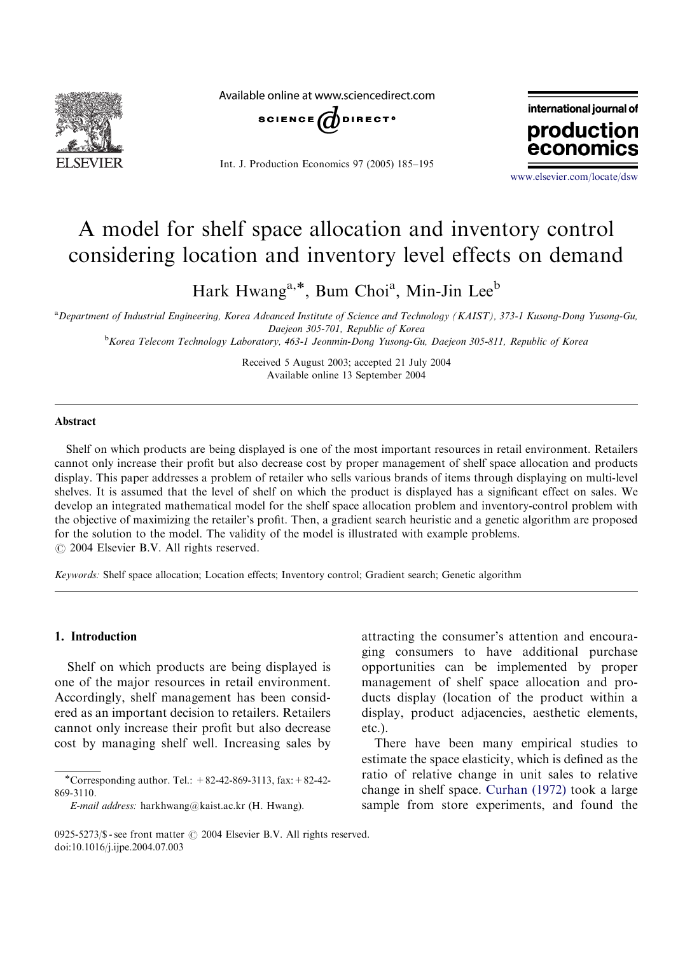

Available online at www.sciencedirect.com



Int. J. Production Economics 97 (2005) 185–195



<www.elsevier.com/locate/dsw>

## A model for shelf space allocation and inventory control considering location and inventory level effects on demand

Hark Hwang<sup>a,\*</sup>, Bum Choi<sup>a</sup>, Min-Jin Lee<sup>b</sup>

a Department of Industrial Engineering, Korea Advanced Institute of Science and Technology (KAIST), 373-1 Kusong-Dong Yusong-Gu, Daejeon 305-701, Republic of Korea

**b**<br>Korea Telecom Technology Laboratory, 463-1 Jeonmin-Dong Yusong-Gu, Daejeon 305-811, Republic of Korea

Received 5 August 2003; accepted 21 July 2004 Available online 13 September 2004

### Abstract

Shelf on which products are being displayed is one of the most important resources in retail environment. Retailers cannot only increase their profit but also decrease cost by proper management of shelf space allocation and products display. This paper addresses a problem of retailer who sells various brands of items through displaying on multi-level shelves. It is assumed that the level of shelf on which the product is displayed has a significant effect on sales. We develop an integrated mathematical model for the shelf space allocation problem and inventory-control problem with the objective of maximizing the retailer's profit. Then, a gradient search heuristic and a genetic algorithm are proposed for the solution to the model. The validity of the model is illustrated with example problems.  $\odot$  2004 Elsevier B.V. All rights reserved.

Keywords: Shelf space allocation; Location effects; Inventory control; Gradient search; Genetic algorithm

#### 1. Introduction

Shelf on which products are being displayed is one of the major resources in retail environment. Accordingly, shelf management has been considered as an important decision to retailers. Retailers cannot only increase their profit but also decrease cost by managing shelf well. Increasing sales by

attracting the consumer's attention and encouraging consumers to have additional purchase opportunities can be implemented by proper management of shelf space allocation and products display (location of the product within a display, product adjacencies, aesthetic elements, etc.).

There have been many empirical studies to estimate the space elasticity, which is defined as the ratio of relative change in unit sales to relative change in shelf space. [Curhan \(1972\)](#page--1-0) took a large sample from store experiments, and found the

<sup>\*</sup>Corresponding author. Tel.:  $+82-42-869-3113$ , fax:  $+82-42-$ 869-3110.

E-mail address: harkhwang@kaist.ac.kr (H. Hwang).

<sup>0925-5273/\$ -</sup> see front matter  $\odot$  2004 Elsevier B.V. All rights reserved. doi:10.1016/j.ijpe.2004.07.003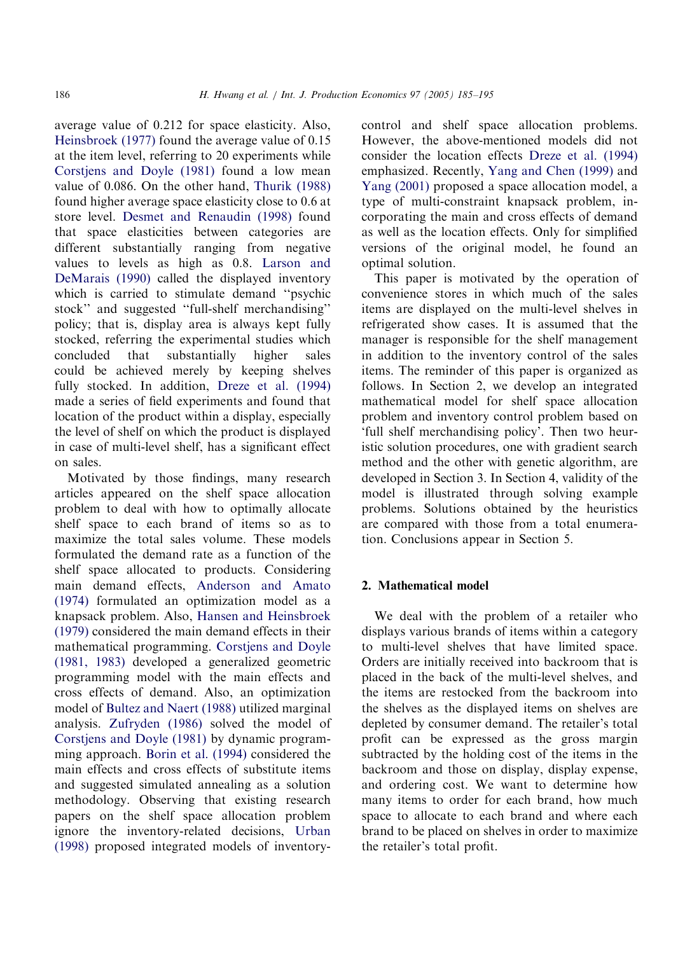average value of 0.212 for space elasticity. Also, [Heinsbroek \(1977\)](#page--1-0) found the average value of 0.15 at the item level, referring to 20 experiments while [Corstjens and Doyle \(1981\)](#page--1-0) found a low mean value of 0.086. On the other hand, [Thurik \(1988\)](#page--1-0) found higher average space elasticity close to 0.6 at store level. [Desmet and Renaudin \(1998\)](#page--1-0) found that space elasticities between categories are different substantially ranging from negative values to levels as high as 0.8. [Larson and](#page--1-0) [DeMarais \(1990\)](#page--1-0) called the displayed inventory which is carried to stimulate demand ''psychic stock'' and suggested ''full-shelf merchandising'' policy; that is, display area is always kept fully stocked, referring the experimental studies which concluded that substantially higher sales could be achieved merely by keeping shelves fully stocked. In addition, [Dreze et al. \(1994\)](#page--1-0) made a series of field experiments and found that location of the product within a display, especially the level of shelf on which the product is displayed in case of multi-level shelf, has a significant effect on sales.

Motivated by those findings, many research articles appeared on the shelf space allocation problem to deal with how to optimally allocate shelf space to each brand of items so as to maximize the total sales volume. These models formulated the demand rate as a function of the shelf space allocated to products. Considering main demand effects, [Anderson and Amato](#page--1-0) [\(1974\)](#page--1-0) formulated an optimization model as a knapsack problem. Also, [Hansen and Heinsbroek](#page--1-0) [\(1979\)](#page--1-0) considered the main demand effects in their mathematical programming. [Corstjens and Doyle](#page--1-0) [\(1981, 1983\)](#page--1-0) developed a generalized geometric programming model with the main effects and cross effects of demand. Also, an optimization model of [Bultez and Naert \(1988\)](#page--1-0) utilized marginal analysis. [Zufryden \(1986\)](#page--1-0) solved the model of [Corstjens and Doyle \(1981\)](#page--1-0) by dynamic programming approach. [Borin et al. \(1994\)](#page--1-0) considered the main effects and cross effects of substitute items and suggested simulated annealing as a solution methodology. Observing that existing research papers on the shelf space allocation problem ignore the inventory-related decisions, [Urban](#page--1-0) [\(1998\)](#page--1-0) proposed integrated models of inventorycontrol and shelf space allocation problems. However, the above-mentioned models did not consider the location effects [Dreze et al. \(1994\)](#page--1-0) emphasized. Recently, [Yang and Chen \(1999\)](#page--1-0) and [Yang \(2001\)](#page--1-0) proposed a space allocation model, a type of multi-constraint knapsack problem, incorporating the main and cross effects of demand as well as the location effects. Only for simplified versions of the original model, he found an optimal solution.

This paper is motivated by the operation of convenience stores in which much of the sales items are displayed on the multi-level shelves in refrigerated show cases. It is assumed that the manager is responsible for the shelf management in addition to the inventory control of the sales items. The reminder of this paper is organized as follows. In Section 2, we develop an integrated mathematical model for shelf space allocation problem and inventory control problem based on 'full shelf merchandising policy'. Then two heuristic solution procedures, one with gradient search method and the other with genetic algorithm, are developed in Section 3. In Section 4, validity of the model is illustrated through solving example problems. Solutions obtained by the heuristics are compared with those from a total enumeration. Conclusions appear in Section 5.

## 2. Mathematical model

We deal with the problem of a retailer who displays various brands of items within a category to multi-level shelves that have limited space. Orders are initially received into backroom that is placed in the back of the multi-level shelves, and the items are restocked from the backroom into the shelves as the displayed items on shelves are depleted by consumer demand. The retailer's total profit can be expressed as the gross margin subtracted by the holding cost of the items in the backroom and those on display, display expense, and ordering cost. We want to determine how many items to order for each brand, how much space to allocate to each brand and where each brand to be placed on shelves in order to maximize the retailer's total profit.